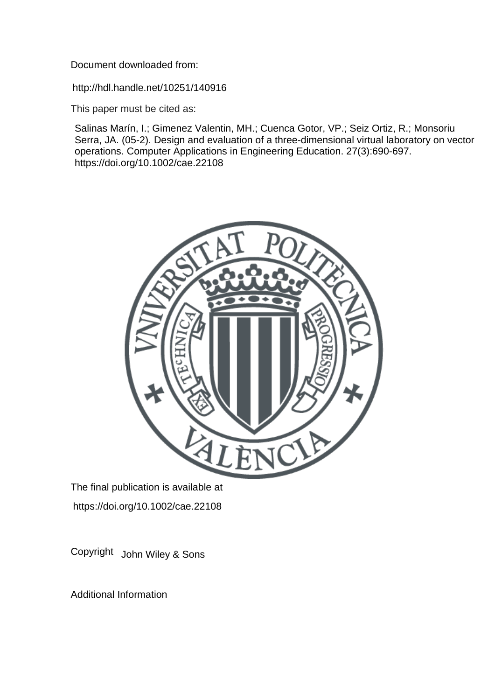Document downloaded from:

http://hdl.handle.net/10251/140916

This paper must be cited as:

Salinas Marín, I.; Gimenez Valentin, MH.; Cuenca Gotor, VP.; Seiz Ortiz, R.; Monsoriu Serra, JA. (05-2). Design and evaluation of a three-dimensional virtual laboratory on vector operations. Computer Applications in Engineering Education. 27(3):690-697. https://doi.org/10.1002/cae.22108



The final publication is available at https://doi.org/10.1002/cae.22108

Copyright John Wiley & Sons

Additional Information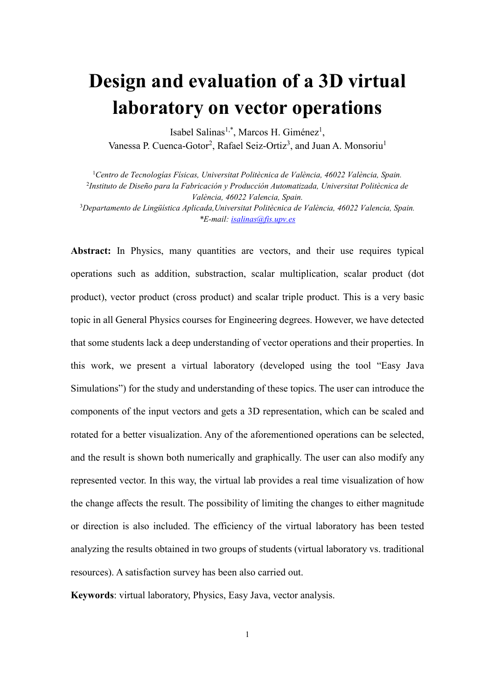# **Design and evaluation of a 3D virtual laboratory on vector operations**

Isabel Salinas<sup>1,\*</sup>, Marcos H. Giménez<sup>1</sup>, Vanessa P. Cuenca-Gotor<sup>2</sup>, Rafael Seiz-Ortiz<sup>3</sup>, and Juan A. Monsoriu<sup>1</sup>

1 *Centro de Tecnologías Físicas, Universitat Politècnica de València, 46022 València, Spain.* 2 *Instituto de Diseño para la Fabricación y Producción Automatizada, Universitat Politècnica de* 

*València, 46022 Valencia, Spain.*

3 *Departamento de Lingüística Aplicada,Universitat Politècnica de València, 46022 Valencia, Spain. \*E-mail: [isalinas@fis.upv.es](mailto:isalinas@fis.upv.es)*

**Abstract:** In Physics, many quantities are vectors, and their use requires typical operations such as addition, substraction, scalar multiplication, scalar product (dot product), vector product (cross product) and scalar triple product. This is a very basic topic in all General Physics courses for Engineering degrees. However, we have detected that some students lack a deep understanding of vector operations and their properties. In this work, we present a virtual laboratory (developed using the tool "Easy Java Simulations") for the study and understanding of these topics. The user can introduce the components of the input vectors and gets a 3D representation, which can be scaled and rotated for a better visualization. Any of the aforementioned operations can be selected, and the result is shown both numerically and graphically. The user can also modify any represented vector. In this way, the virtual lab provides a real time visualization of how the change affects the result. The possibility of limiting the changes to either magnitude or direction is also included. The efficiency of the virtual laboratory has been tested analyzing the results obtained in two groups of students (virtual laboratory vs. traditional resources). A satisfaction survey has been also carried out.

**Keywords**: virtual laboratory, Physics, Easy Java, vector analysis.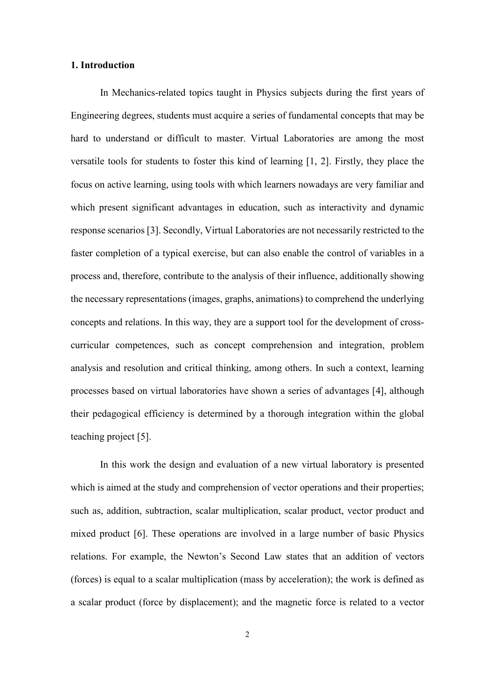## **1. Introduction**

In Mechanics-related topics taught in Physics subjects during the first years of Engineering degrees, students must acquire a series of fundamental concepts that may be hard to understand or difficult to master. Virtual Laboratories are among the most versatile tools for students to foster this kind of learning [1, 2]. Firstly, they place the focus on active learning, using tools with which learners nowadays are very familiar and which present significant advantages in education, such as interactivity and dynamic response scenarios [3]. Secondly, Virtual Laboratories are not necessarily restricted to the faster completion of a typical exercise, but can also enable the control of variables in a process and, therefore, contribute to the analysis of their influence, additionally showing the necessary representations (images, graphs, animations) to comprehend the underlying concepts and relations. In this way, they are a support tool for the development of crosscurricular competences, such as concept comprehension and integration, problem analysis and resolution and critical thinking, among others. In such a context, learning processes based on virtual laboratories have shown a series of advantages [4], although their pedagogical efficiency is determined by a thorough integration within the global teaching project [5].

In this work the design and evaluation of a new virtual laboratory is presented which is aimed at the study and comprehension of vector operations and their properties; such as, addition, subtraction, scalar multiplication, scalar product, vector product and mixed product [6]. These operations are involved in a large number of basic Physics relations. For example, the Newton's Second Law states that an addition of vectors (forces) is equal to a scalar multiplication (mass by acceleration); the work is defined as a scalar product (force by displacement); and the magnetic force is related to a vector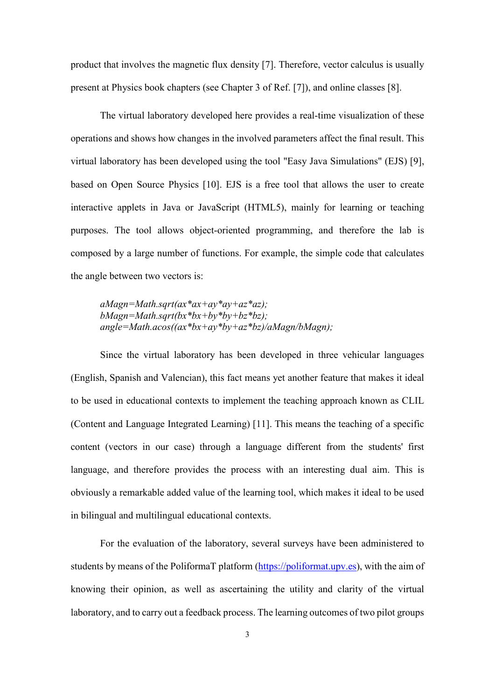product that involves the magnetic flux density [7]. Therefore, vector calculus is usually present at Physics book chapters (see Chapter 3 of Ref. [7]), and online classes [8].

The virtual laboratory developed here provides a real-time visualization of these operations and shows how changes in the involved parameters affect the final result. This virtual laboratory has been developed using the tool "Easy Java Simulations" (EJS) [9], based on Open Source Physics [10]. EJS is a free tool that allows the user to create interactive applets in Java or JavaScript (HTML5), mainly for learning or teaching purposes. The tool allows object-oriented programming, and therefore the lab is composed by a large number of functions. For example, the simple code that calculates the angle between two vectors is:

*aMagn=Math.sqrt(ax\*ax+ay\*ay+az\*az); bMagn=Math.sqrt(bx\*bx+by\*by+bz\*bz); angle=Math.acos((ax\*bx+ay\*by+az\*bz)/aMagn/bMagn);*

Since the virtual laboratory has been developed in three vehicular languages (English, Spanish and Valencian), this fact means yet another feature that makes it ideal to be used in educational contexts to implement the teaching approach known as CLIL (Content and Language Integrated Learning) [11]. This means the teaching of a specific content (vectors in our case) through a language different from the students' first language, and therefore provides the process with an interesting dual aim. This is obviously a remarkable added value of the learning tool, which makes it ideal to be used in bilingual and multilingual educational contexts.

For the evaluation of the laboratory, several surveys have been administered to students by means of the PoliformaT platform [\(https://poliformat.upv.es\)](https://poliformat.upv.es/), with the aim of knowing their opinion, as well as ascertaining the utility and clarity of the virtual laboratory, and to carry out a feedback process. The learning outcomes of two pilot groups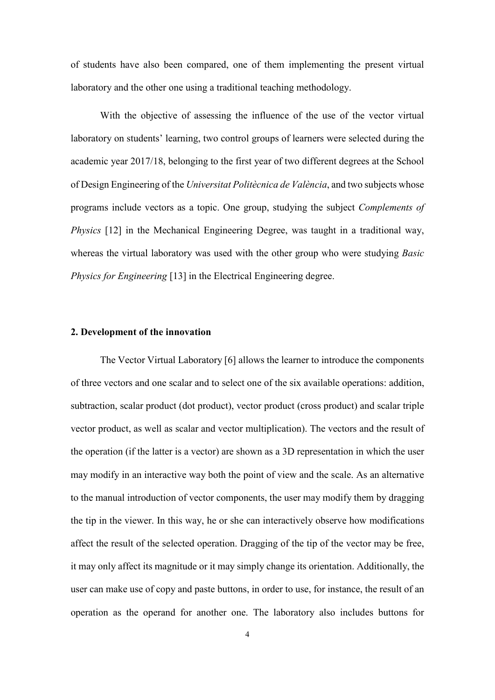of students have also been compared, one of them implementing the present virtual laboratory and the other one using a traditional teaching methodology.

With the objective of assessing the influence of the use of the vector virtual laboratory on students' learning, two control groups of learners were selected during the academic year 2017/18, belonging to the first year of two different degrees at the School of Design Engineering of the *Universitat Politècnica de València*, and two subjects whose programs include vectors as a topic. One group, studying the subject *Complements of Physics* [12] in the Mechanical Engineering Degree, was taught in a traditional way, whereas the virtual laboratory was used with the other group who were studying *Basic Physics for Engineering* [13] in the Electrical Engineering degree.

# **2. Development of the innovation**

The Vector Virtual Laboratory [6] allows the learner to introduce the components of three vectors and one scalar and to select one of the six available operations: addition, subtraction, scalar product (dot product), vector product (cross product) and scalar triple vector product, as well as scalar and vector multiplication). The vectors and the result of the operation (if the latter is a vector) are shown as a 3D representation in which the user may modify in an interactive way both the point of view and the scale. As an alternative to the manual introduction of vector components, the user may modify them by dragging the tip in the viewer. In this way, he or she can interactively observe how modifications affect the result of the selected operation. Dragging of the tip of the vector may be free, it may only affect its magnitude or it may simply change its orientation. Additionally, the user can make use of copy and paste buttons, in order to use, for instance, the result of an operation as the operand for another one. The laboratory also includes buttons for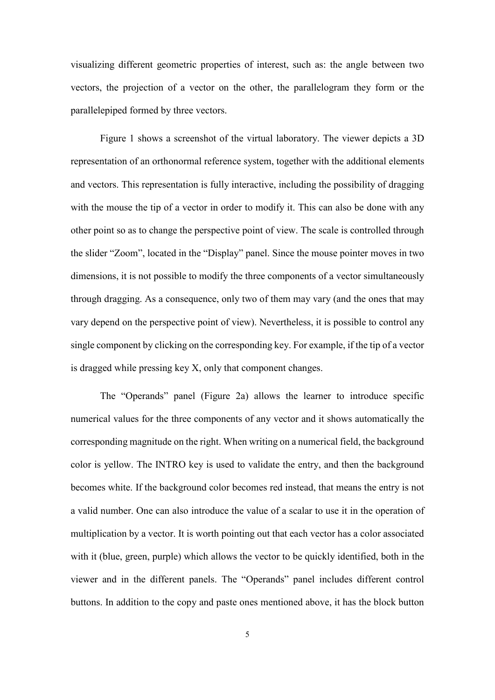visualizing different geometric properties of interest, such as: the angle between two vectors, the projection of a vector on the other, the parallelogram they form or the parallelepiped formed by three vectors.

Figure 1 shows a screenshot of the virtual laboratory. The viewer depicts a 3D representation of an orthonormal reference system, together with the additional elements and vectors. This representation is fully interactive, including the possibility of dragging with the mouse the tip of a vector in order to modify it. This can also be done with any other point so as to change the perspective point of view. The scale is controlled through the slider "Zoom", located in the "Display" panel. Since the mouse pointer moves in two dimensions, it is not possible to modify the three components of a vector simultaneously through dragging. As a consequence, only two of them may vary (and the ones that may vary depend on the perspective point of view). Nevertheless, it is possible to control any single component by clicking on the corresponding key. For example, if the tip of a vector is dragged while pressing key X, only that component changes.

The "Operands" panel (Figure 2a) allows the learner to introduce specific numerical values for the three components of any vector and it shows automatically the corresponding magnitude on the right. When writing on a numerical field, the background color is yellow. The INTRO key is used to validate the entry, and then the background becomes white. If the background color becomes red instead, that means the entry is not a valid number. One can also introduce the value of a scalar to use it in the operation of multiplication by a vector. It is worth pointing out that each vector has a color associated with it (blue, green, purple) which allows the vector to be quickly identified, both in the viewer and in the different panels. The "Operands" panel includes different control buttons. In addition to the copy and paste ones mentioned above, it has the block button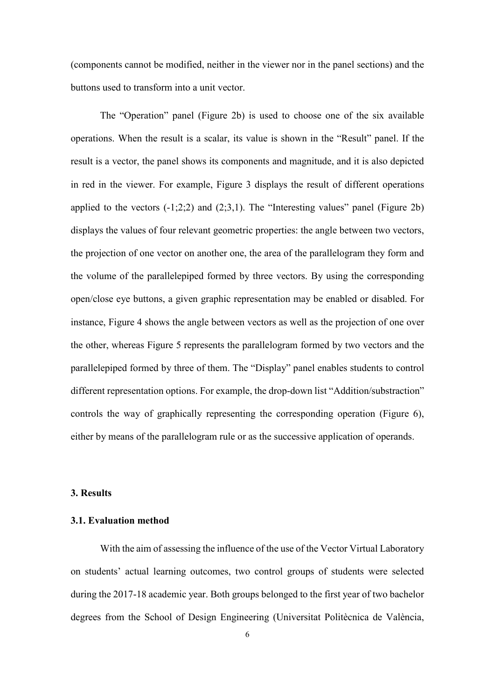(components cannot be modified, neither in the viewer nor in the panel sections) and the buttons used to transform into a unit vector.

The "Operation" panel (Figure 2b) is used to choose one of the six available operations. When the result is a scalar, its value is shown in the "Result" panel. If the result is a vector, the panel shows its components and magnitude, and it is also depicted in red in the viewer. For example, Figure 3 displays the result of different operations applied to the vectors  $(-1,2,2)$  and  $(2,3,1)$ . The "Interesting values" panel (Figure 2b) displays the values of four relevant geometric properties: the angle between two vectors, the projection of one vector on another one, the area of the parallelogram they form and the volume of the parallelepiped formed by three vectors. By using the corresponding open/close eye buttons, a given graphic representation may be enabled or disabled. For instance, Figure 4 shows the angle between vectors as well as the projection of one over the other, whereas Figure 5 represents the parallelogram formed by two vectors and the parallelepiped formed by three of them. The "Display" panel enables students to control different representation options. For example, the drop-down list "Addition/substraction" controls the way of graphically representing the corresponding operation (Figure 6), either by means of the parallelogram rule or as the successive application of operands.

# **3. Results**

#### **3.1. Evaluation method**

With the aim of assessing the influence of the use of the Vector Virtual Laboratory on students' actual learning outcomes, two control groups of students were selected during the 2017-18 academic year. Both groups belonged to the first year of two bachelor degrees from the School of Design Engineering (Universitat Politècnica de València,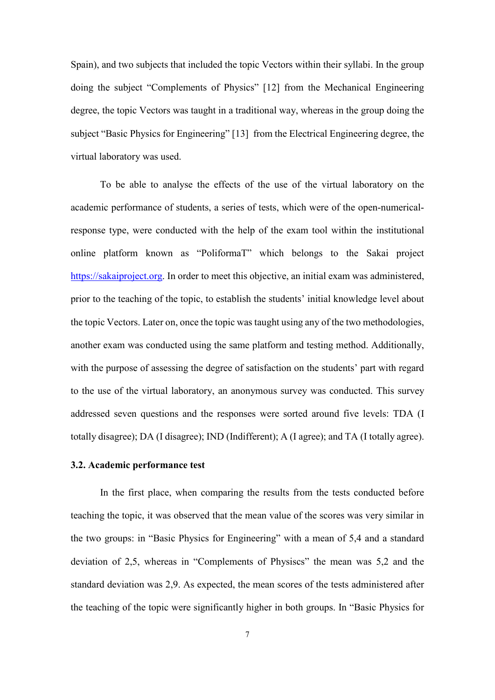Spain), and two subjects that included the topic Vectors within their syllabi. In the group doing the subject "Complements of Physics" [12] from the Mechanical Engineering degree, the topic Vectors was taught in a traditional way, whereas in the group doing the subject "Basic Physics for Engineering" [13] from the Electrical Engineering degree, the virtual laboratory was used.

To be able to analyse the effects of the use of the virtual laboratory on the academic performance of students, a series of tests, which were of the open-numericalresponse type, were conducted with the help of the exam tool within the institutional online platform known as "PoliformaT" which belongs to the Sakai project [https://sakaiproject.org.](https://sakaiproject.org/) In order to meet this objective, an initial exam was administered, prior to the teaching of the topic, to establish the students' initial knowledge level about the topic Vectors. Later on, once the topic was taught using any of the two methodologies, another exam was conducted using the same platform and testing method. Additionally, with the purpose of assessing the degree of satisfaction on the students' part with regard to the use of the virtual laboratory, an anonymous survey was conducted. This survey addressed seven questions and the responses were sorted around five levels: TDA (I totally disagree); DA (I disagree); IND (Indifferent); A (I agree); and TA (I totally agree).

#### **3.2. Academic performance test**

In the first place, when comparing the results from the tests conducted before teaching the topic, it was observed that the mean value of the scores was very similar in the two groups: in "Basic Physics for Engineering" with a mean of 5,4 and a standard deviation of 2,5, whereas in "Complements of Physiscs" the mean was 5,2 and the standard deviation was 2,9. As expected, the mean scores of the tests administered after the teaching of the topic were significantly higher in both groups. In "Basic Physics for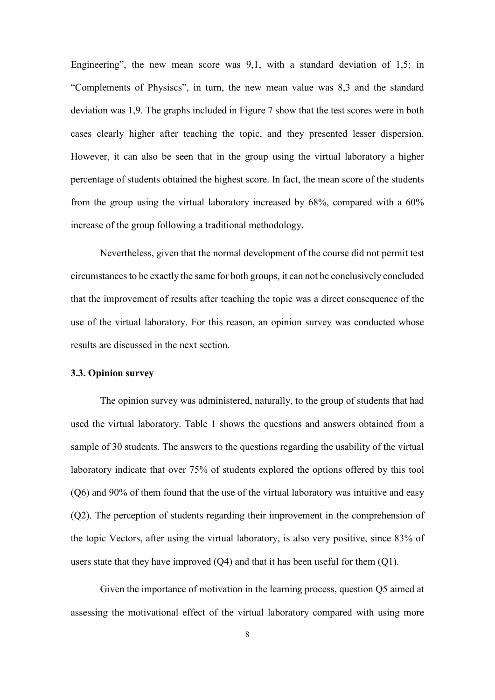Engineering", the new mean score was 9,1, with a standard deviation of 1,5; in "Complements of Physiscs", in turn, the new mean value was 8,3 and the standard deviation was 1,9. The graphs included in Figure 7 show that the test scores were in both cases clearly higher after teaching the topic, and they presented lesser dispersion. However, it can also be seen that in the group using the virtual laboratory a higher percentage of students obtained the highest score. In fact, the mean score of the students from the group using the virtual laboratory increased by 68%, compared with a 60% increase of the group following a traditional methodology.

Nevertheless, given that the normal development of the course did not permit test circumstances to be exactly the same for both groups, it can not be conclusively concluded that the improvement of results after teaching the topic was a direct consequence of the use of the virtual laboratory. For this reason, an opinion survey was conducted whose results are discussed in the next section.

#### **3.3. Opinion survey**

The opinion survey was administered, naturally, to the group of students that had used the virtual laboratory. Table 1 shows the questions and answers obtained from a sample of 30 students. The answers to the questions regarding the usability of the virtual laboratory indicate that over 75% of students explored the options offered by this tool (Q6) and 90% of them found that the use of the virtual laboratory was intuitive and easy (Q2). The perception of students regarding their improvement in the comprehension of the topic Vectors, after using the virtual laboratory, is also very positive, since 83% of users state that they have improved (Q4) and that it has been useful for them (Q1).

Given the importance of motivation in the learning process, question Q5 aimed at assessing the motivational effect of the virtual laboratory compared with using more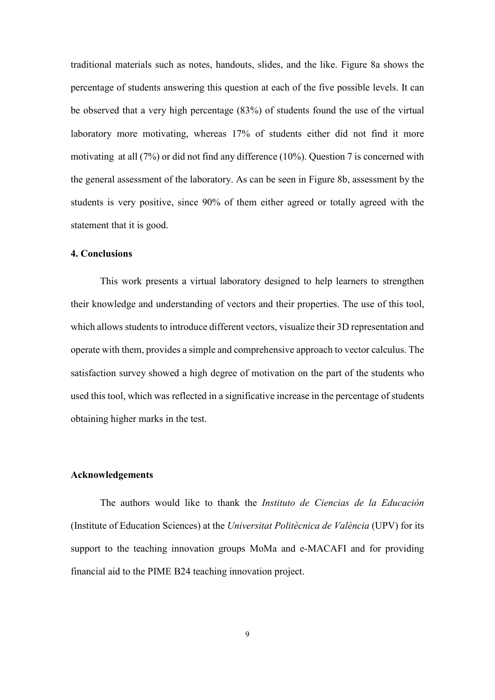traditional materials such as notes, handouts, slides, and the like. Figure 8a shows the percentage of students answering this question at each of the five possible levels. It can be observed that a very high percentage (83%) of students found the use of the virtual laboratory more motivating, whereas 17% of students either did not find it more motivating at all (7%) or did not find any difference (10%). Question 7 is concerned with the general assessment of the laboratory. As can be seen in Figure 8b, assessment by the students is very positive, since 90% of them either agreed or totally agreed with the statement that it is good.

#### **4. Conclusions**

This work presents a virtual laboratory designed to help learners to strengthen their knowledge and understanding of vectors and their properties. The use of this tool, which allows students to introduce different vectors, visualize their 3D representation and operate with them, provides a simple and comprehensive approach to vector calculus. The satisfaction survey showed a high degree of motivation on the part of the students who used this tool, which was reflected in a significative increase in the percentage of students obtaining higher marks in the test.

#### **Acknowledgements**

The authors would like to thank the *Instituto de Ciencias de la Educación* (Institute of Education Sciences) at the *Universitat Politècnica de València* (UPV) for its support to the teaching innovation groups MoMa and e-MACAFI and for providing financial aid to the PIME B24 teaching innovation project.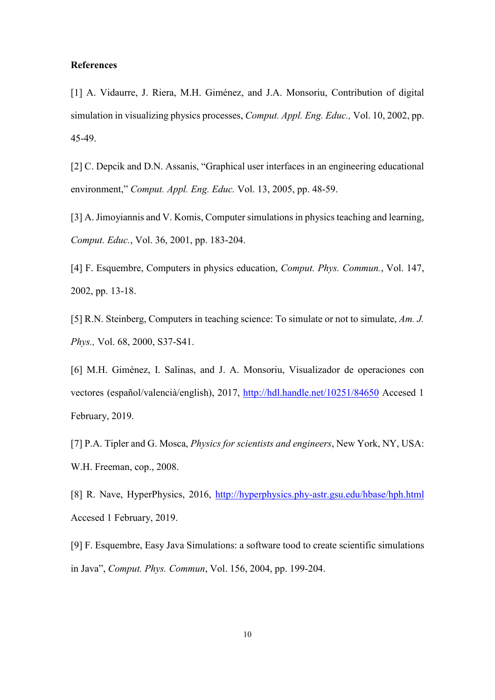## **References**

[1] A. Vidaurre, J. Riera, M.H. Giménez, and J.A. Monsoriu, Contribution of digital simulation in visualizing physics processes, *Comput. Appl. Eng. Educ.,* Vol. 10, 2002, pp. 45-49.

[2] C. Depcik and D.N. Assanis, "Graphical user interfaces in an engineering educational environment," *Comput. Appl. Eng. Educ.* Vol. 13, 2005, pp. 48-59.

[3] A. Jimoyiannis and V. Komis, Computer simulations in physics teaching and learning, *Comput. Educ.*, Vol. 36, 2001, pp. 183-204.

[4] F. Esquembre, Computers in physics education, *Comput. Phys. Commun.*, Vol. 147, 2002, pp. 13-18.

[5] R.N. Steinberg, Computers in teaching science: To simulate or not to simulate, *Am. J. Phys.,* Vol. 68, 2000, S37-S41.

[6] M.H. Giménez, I. Salinas, and J. A. Monsoriu, Visualizador de operaciones con vectores (español/valencià/english), 2017,<http://hdl.handle.net/10251/84650> Accesed 1 February, 2019.

[7] P.A. Tipler and G. Mosca, *Physics for scientists and engineers*, New York, NY, USA: W.H. Freeman, cop., 2008.

[8] R. Nave, HyperPhysics, 2016, <http://hyperphysics.phy-astr.gsu.edu/hbase/hph.html> Accesed 1 February, 2019.

[9] F. Esquembre, Easy Java Simulations: a software tood to create scientific simulations in Java", *Comput. Phys. Commun*, Vol. 156, 2004, pp. 199-204.

10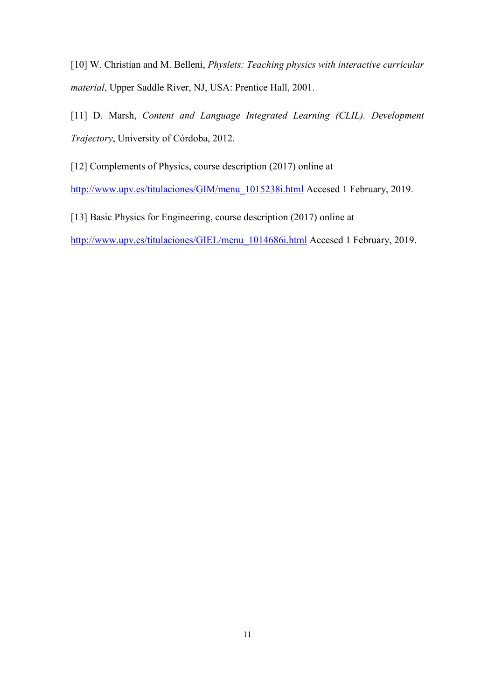[10] W. Christian and M. Belleni, *Physlets: Teaching physics with interactive curricular material*, Upper Saddle River, NJ, USA: Prentice Hall, 2001.

[11] D. Marsh, *Content and Language Integrated Learning (CLIL). Development Trajectory*, University of Córdoba, 2012.

[12] Complements of Physics, course description (2017) online at

[http://www.upv.es/titulaciones/GIM/menu\\_1015238i.html](http://www.upv.es/titulaciones/GIM/menu_1015238i.html) Accesed 1 February, 2019.

[13] Basic Physics for Engineering, course description (2017) online at

[http://www.upv.es/titulaciones/GIEL/menu\\_1014686i.html](http://www.upv.es/titulaciones/GIEL/menu_1014686i.html) Accesed 1 February, 2019.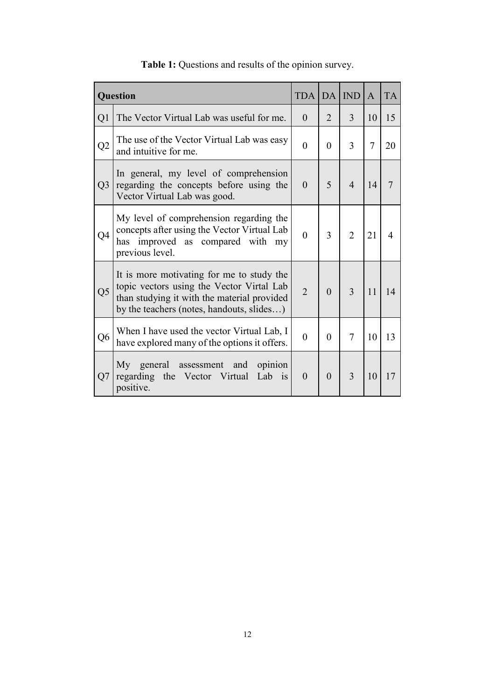| Question       |                                                                                                                                                                                    | <b>TDA   DA  </b> |                | <b>IND</b>     | $\overline{A}$ | <b>TA</b> |
|----------------|------------------------------------------------------------------------------------------------------------------------------------------------------------------------------------|-------------------|----------------|----------------|----------------|-----------|
| Q1             | The Vector Virtual Lab was useful for me.                                                                                                                                          | $\theta$          | $\overline{2}$ | 3              | 10             | 15        |
| Q2             | The use of the Vector Virtual Lab was easy<br>and intuitive for me.                                                                                                                | $\theta$          | $\theta$       | 3              | $\overline{7}$ | 20        |
| Q <sub>3</sub> | In general, my level of comprehension<br>regarding the concepts before using the<br>Vector Virtual Lab was good.                                                                   | $\theta$          | 5              | $\overline{4}$ | 14             |           |
| Q4             | My level of comprehension regarding the<br>concepts after using the Vector Virtual Lab<br>has improved as compared with my<br>previous level.                                      | $\theta$          | 3              | $\overline{2}$ | 21             | 4         |
| Q <sub>5</sub> | It is more motivating for me to study the<br>topic vectors using the Vector Virtal Lab<br>than studying it with the material provided<br>by the teachers (notes, handouts, slides) | $\overline{2}$    | $\theta$       | 3              | 11             | 14        |
| Q <sub>6</sub> | When I have used the vector Virtual Lab, I<br>have explored many of the options it offers.                                                                                         | $\overline{0}$    | $\theta$       | 7              | 10             | 13        |
| Q7             | My general assessment<br>opinion<br>and<br>regarding the Vector Virtual<br>Lab is<br>positive.                                                                                     | $\theta$          | $\Omega$       | 3              | 10             | 17        |

# **Table 1:** Questions and results of the opinion survey.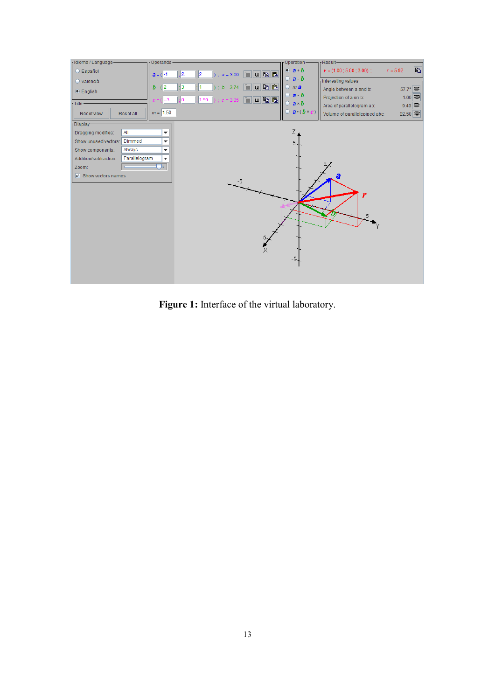

**Figure 1:** Interface of the virtual laboratory.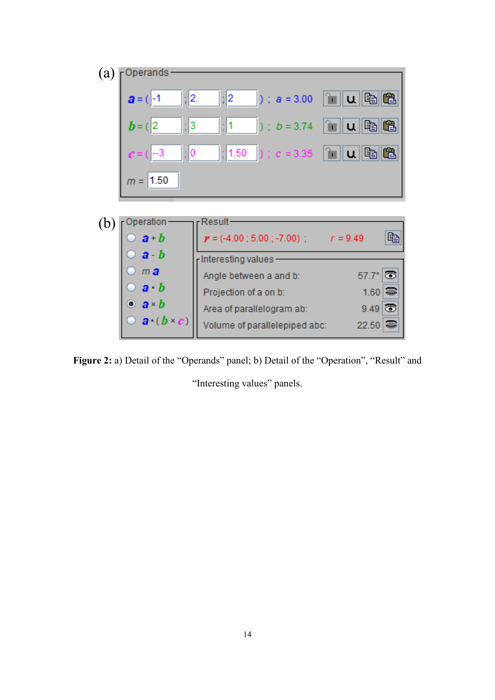

**Figure 2:** a) Detail of the "Operands" panel; b) Detail of the "Operation", "Result" and

"Interesting values" panels.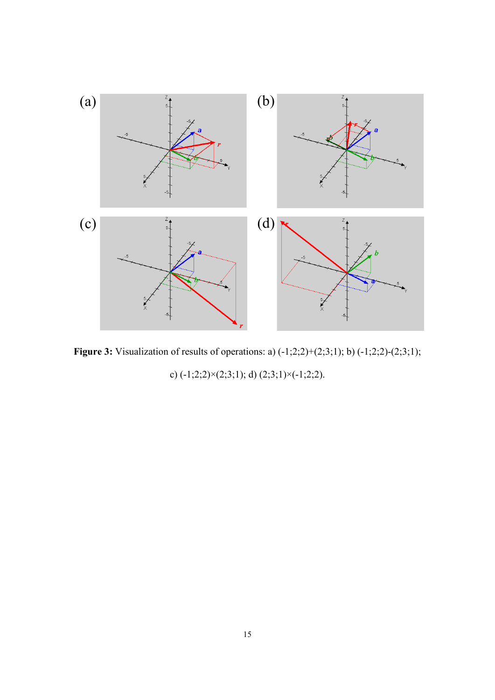

**Figure 3:** Visualization of results of operations: a) (-1;2;2)+(2;3;1); b) (-1;2;2)-(2;3;1);

c)  $(-1;2;2)\times(2;3;1)$ ; d)  $(2;3;1)\times(-1;2;2)$ .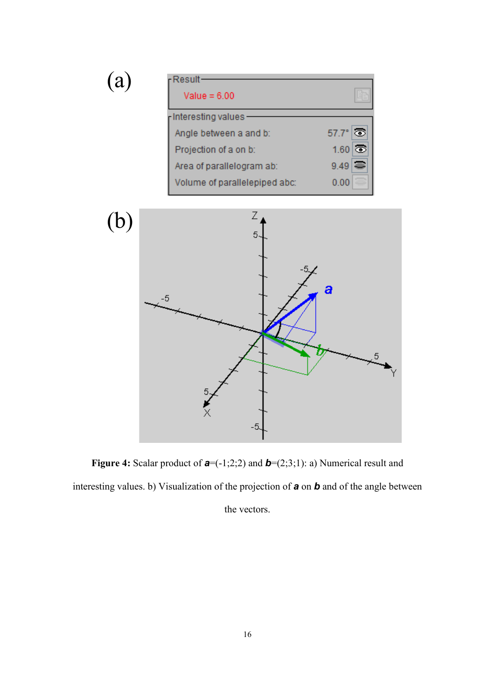

**Figure 4:** Scalar product of *a*=(-1;2;2) and *b*=(2;3;1): a) Numerical result and interesting values. b) Visualization of the projection of *a* on *b* and of the angle between the vectors.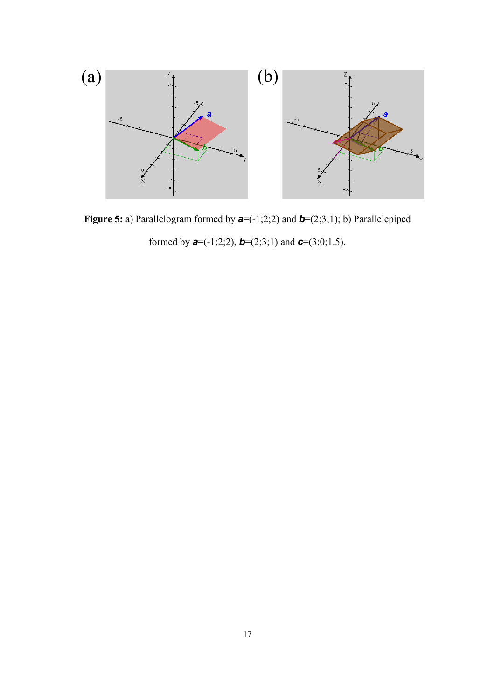

Figure 5: a) Parallelogram formed by  $a = (-1,2,2)$  and  $b = (2,3,1)$ ; b) Parallelepiped formed by *a*=(-1;2;2), *b*=(2;3;1) and *c*=(3;0;1.5).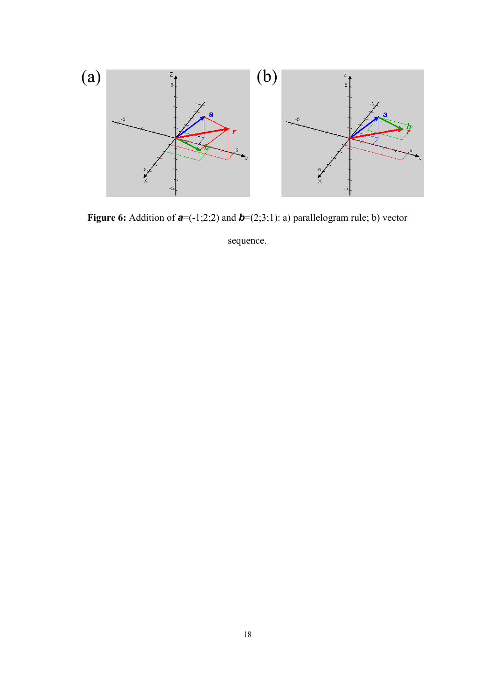

**Figure 6:** Addition of  $a = (-1,2,2)$  and  $b = (2,3,1)$ : a) parallelogram rule; b) vector

sequence.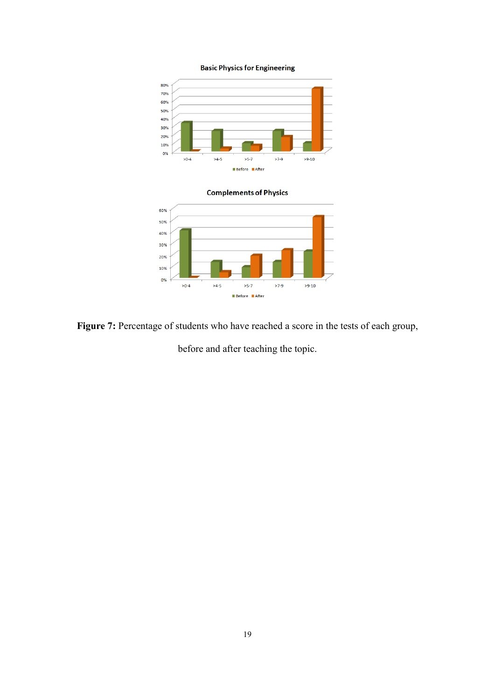**Basic Physics for Engineering** 





Figure 7: Percentage of students who have reached a score in the tests of each group,

before and after teaching the topic.